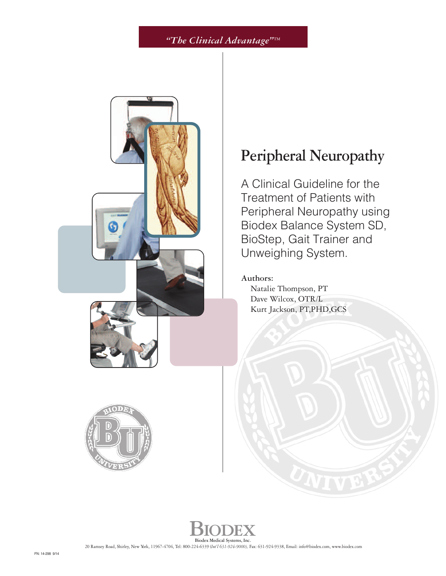# *"The Clinical Advantage"™*





# **Peripheral Neuropathy**

A Clinical Guideline for the Treatment of Patients with Peripheral Neuropathy using Biodex Balance System SD, BioStep, Gait Trainer and Unweighing System.

### **Authors:**

Natalie Thompson, PT Dave Wilcox, OTR/L Kurt Jackson, PT,PHD,GCS

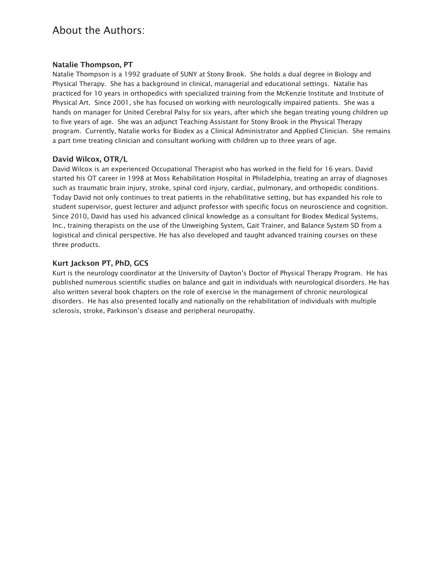# About the Authors:

#### **Natalie Thompson, PT**

Natalie Thompson is a 1992 graduate of SUNY at Stony Brook. She holds a dual degree in Biology and Physical Therapy. She has a background in clinical, managerial and educational settings. Natalie has practiced for 10 years in orthopedics with specialized training from the McKenzie Institute and Institute of Physical Art. Since 2001, she has focused on working with neurologically impaired patients. She was a hands on manager for United Cerebral Palsy for six years, after which she began treating young children up to five years of age. She was an adjunct Teaching Assistant for Stony Brook in the Physical Therapy program. Currently, Natalie works for Biodex as a Clinical Administrator and Applied Clinician. She remains a part time treating clinician and consultant working with children up to three years of age.

#### **David Wilcox, OTR/L**

David Wilcox is an experienced Occupational Therapist who has worked in the field for 16 years. David started his OT career in 1998 at Moss Rehabilitation Hospital in Philadelphia, treating an array of diagnoses such as traumatic brain injury, stroke, spinal cord injury, cardiac, pulmonary, and orthopedic conditions. Today David not only continues to treat patients in the rehabilitative setting, but has expanded his role to student supervisor, guest lecturer and adjunct professor with specific focus on neuroscience and cognition. Since 2010, David has used his advanced clinical knowledge as a consultant for Biodex Medical Systems, Inc., training therapists on the use of the Unweighing System, Gait Trainer, and Balance System SD from a logistical and clinical perspective. He has also developed and taught advanced training courses on these three products.

#### **Kurt Jackson PT, PhD, GCS**

Kurt is the neurology coordinator at the University of Dayton's Doctor of Physical Therapy Program. He has published numerous scientific studies on balance and gait in individuals with neurological disorders. He has also written several book chapters on the role of exercise in the management of chronic neurological disorders. He has also presented locally and nationally on the rehabilitation of individuals with multiple sclerosis, stroke, Parkinson's disease and peripheral neuropathy.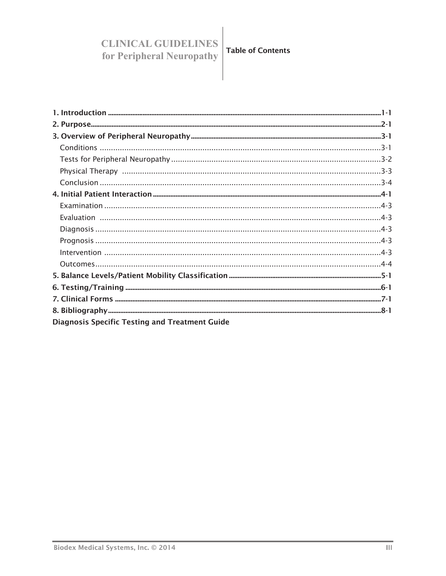# **CLINICAL GUIDELINES**<br>for Peripheral Neuropathy

# **Table of Contents**

| <b>Diagnosis Specific Testing and Treatment Guide</b> |  |
|-------------------------------------------------------|--|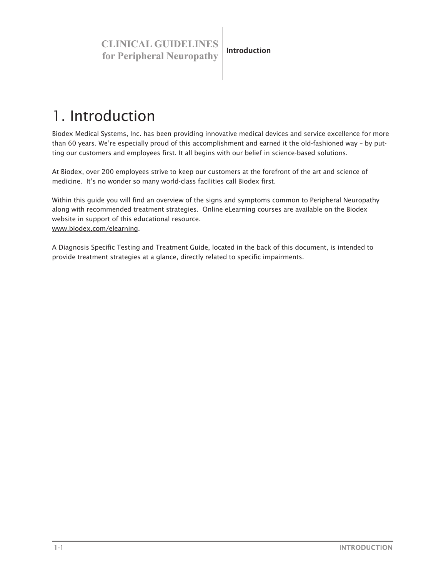# 1. Introduction

Biodex Medical Systems, Inc. has been providing innovative medical devices and service excellence for more than 60 years. We're especially proud of this accomplishment and earned it the old-fashioned way – by putting our customers and employees first. It all begins with our belief in science-based solutions.

At Biodex, over 200 employees strive to keep our customers at the forefront of the art and science of medicine. It's no wonder so many world-class facilities call Biodex first.

Within this guide you will find an overview of the signs and symptoms common to Peripheral Neuropathy along with recommended treatment strategies. Online eLearning courses are available on the Biodex website in support of this educational resource. www.biodex.com/elearning.

A Diagnosis Specific Testing and Treatment Guide, located in the back of this document, is intended to provide treatment strategies at a glance, directly related to specific impairments.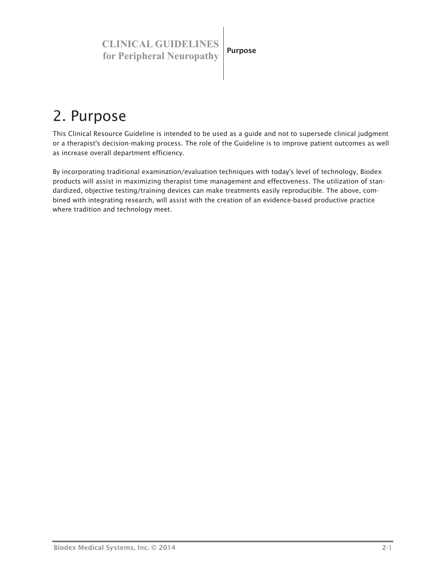# **Purpose**

# 2. Purpose

This Clinical Resource Guideline is intended to be used as a guide and not to supersede clinical judgment or a therapist's decision-making process. The role of the Guideline is to improve patient outcomes as well as increase overall department efficiency.

By incorporating traditional examination/evaluation techniques with today's level of technology, Biodex products will assist in maximizing therapist time management and effectiveness. The utilization of standardized, objective testing/training devices can make treatments easily reproducible. The above, combined with integrating research, will assist with the creation of an evidence-based productive practice where tradition and technology meet.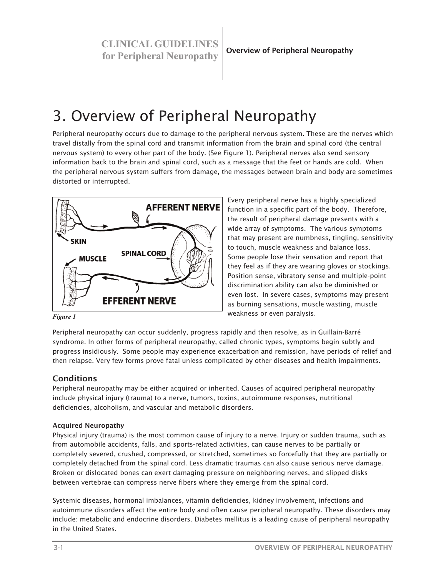# 3. Overview of Peripheral Neuropathy

Peripheral neuropathy occurs due to damage to the peripheral nervous system. These are the nerves which travel distally from the spinal cord and transmit information from the brain and spinal cord (the central nervous system) to every other part of the body. (See Figure 1). Peripheral nerves also send sensory information back to the brain and spinal cord, such as a message that the feet or hands are cold. When the peripheral nervous system suffers from damage, the messages between brain and body are sometimes distorted or interrupted.



Every peripheral nerve has a highly specialized function in a specific part of the body. Therefore, the result of peripheral damage presents with a wide array of symptoms. The various symptoms that may present are numbness, tingling, sensitivity to touch, muscle weakness and balance loss. Some people lose their sensation and report that they feel as if they are wearing gloves or stockings. Position sense, vibratory sense and multiple-point discrimination ability can also be diminished or even lost. In severe cases, symptoms may present as burning sensations, muscle wasting, muscle weakness or even paralysis.

*Figure 1*

Peripheral neuropathy can occur suddenly, progress rapidly and then resolve, as in Guillain-Barré syndrome. In other forms of peripheral neuropathy, called chronic types, symptoms begin subtly and progress insidiously. Some people may experience exacerbation and remission, have periods of relief and then relapse. Very few forms prove fatal unless complicated by other diseases and health impairments.

# **Conditions**

Peripheral neuropathy may be either acquired or inherited. Causes of acquired peripheral neuropathy include physical injury (trauma) to a nerve, tumors, toxins, autoimmune responses, nutritional deficiencies, alcoholism, and vascular and metabolic disorders.

### **Acquired Neuropathy**

Physical injury (trauma) is the most common cause of injury to a nerve. Injury or sudden trauma, such as from automobile accidents, falls, and sports-related activities, can cause nerves to be partially or completely severed, crushed, compressed, or stretched, sometimes so forcefully that they are partially or completely detached from the spinal cord. Less dramatic traumas can also cause serious nerve damage. Broken or dislocated bones can exert damaging pressure on neighboring nerves, and slipped disks between vertebrae can compress nerve fibers where they emerge from the spinal cord.

Systemic diseases, hormonal imbalances, vitamin deficiencies, kidney involvement, infections and autoimmune disorders affect the entire body and often cause peripheral neuropathy. These disorders may include: metabolic and endocrine disorders. Diabetes mellitus is a leading cause of peripheral neuropathy in the United States.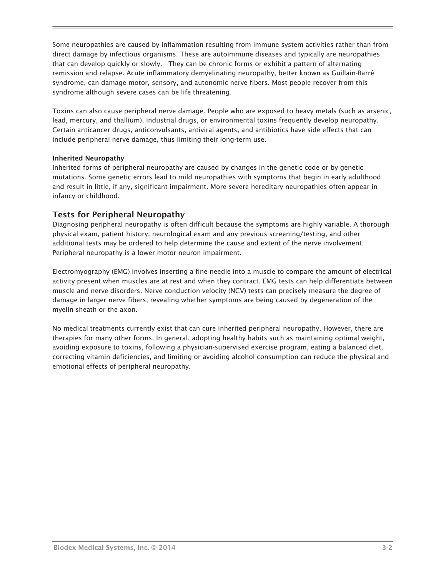Some neuropathies are caused by inflammation resulting from immune system activities rather than from direct damage by infectious organisms. These are autoimmune diseases and typically are neuropathies that can develop quickly or slowly. They can be chronic forms or exhibit a pattern of alternating remission and relapse. Acute inflammatory demyelinating neuropathy, better known as Guillain-Barré syndrome, can damage motor, sensory, and autonomic nerve fibers. Most people recover from this syndrome although severe cases can be life threatening.

Toxins can also cause peripheral nerve damage. People who are exposed to heavy metals (such as arsenic, lead, mercury, and thallium), industrial drugs, or environmental toxins frequently develop neuropathy. Certain anticancer drugs, anticonvulsants, antiviral agents, and antibiotics have side effects that can include peripheral nerve damage, thus limiting their long-term use.

#### **Inherited Neuropathy**

Inherited forms of peripheral neuropathy are caused by changes in the genetic code or by genetic mutations. Some genetic errors lead to mild neuropathies with symptoms that begin in early adulthood and result in little, if any, significant impairment. More severe hereditary neuropathies often appear in infancy or childhood.

#### **Tests for Peripheral Neuropathy**

Diagnosing peripheral neuropathy is often difficult because the symptoms are highly variable. A thorough physical exam, patient history, neurological exam and any previous screening/testing, and other additional tests may be ordered to help determine the cause and extent of the nerve involvement. Peripheral neuropathy is a lower motor neuron impairment.

Electromyography (EMG) involves inserting a fine needle into a muscle to compare the amount of electrical activity present when muscles are at rest and when they contract. EMG tests can help differentiate between muscle and nerve disorders. Nerve conduction velocity (NCV) tests can precisely measure the degree of damage in larger nerve fibers, revealing whether symptoms are being caused by degeneration of the myelin sheath or the axon.

No medical treatments currently exist that can cure inherited peripheral neuropathy. However, there are therapies for many other forms. In general, adopting healthy habits such as maintaining optimal weight, avoiding exposure to toxins, following a physician-supervised exercise program, eating a balanced diet, correcting vitamin deficiencies, and limiting or avoiding alcohol consumption can reduce the physical and emotional effects of peripheral neuropathy.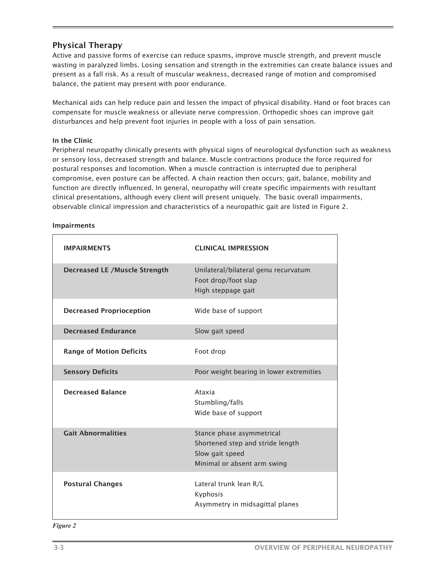### **Physical Therapy**

Active and passive forms of exercise can reduce spasms, improve muscle strength, and prevent muscle wasting in paralyzed limbs. Losing sensation and strength in the extremities can create balance issues and present as a fall risk. As a result of muscular weakness, decreased range of motion and compromised balance, the patient may present with poor endurance.

Mechanical aids can help reduce pain and lessen the impact of physical disability. Hand or foot braces can compensate for muscle weakness or alleviate nerve compression. Orthopedic shoes can improve gait disturbances and help prevent foot injuries in people with a loss of pain sensation.

#### **In the Clinic**

Peripheral neuropathy clinically presents with physical signs of neurological dysfunction such as weakness or sensory loss, decreased strength and balance. Muscle contractions produce the force required for postural responses and locomotion. When a muscle contraction is interrupted due to peripheral compromise, even posture can be affected. A chain reaction then occurs; gait, balance, mobility and function are directly influenced. In general, neuropathy will create specific impairments with resultant clinical presentations, although every client will present uniquely. The basic overall impairments, observable clinical impression and characteristics of a neuropathic gait are listed in Figure 2.

| <b>IMPAIRMENTS</b>                   | <b>CLINICAL IMPRESSION</b>                                                                                      |
|--------------------------------------|-----------------------------------------------------------------------------------------------------------------|
| <b>Decreased LE /Muscle Strength</b> | Unilateral/bilateral genu recurvatum<br>Foot drop/foot slap<br>High steppage gait                               |
| <b>Decreased Proprioception</b>      | Wide base of support                                                                                            |
| <b>Decreased Endurance</b>           | Slow gait speed                                                                                                 |
| <b>Range of Motion Deficits</b>      | Foot drop                                                                                                       |
| <b>Sensory Deficits</b>              | Poor weight bearing in lower extremities                                                                        |
| <b>Decreased Balance</b>             | Ataxia<br>Stumbling/falls<br>Wide base of support                                                               |
| <b>Gait Abnormalities</b>            | Stance phase asymmetrical<br>Shortened step and stride length<br>Slow gait speed<br>Minimal or absent arm swing |
| <b>Postural Changes</b>              | Lateral trunk lean R/L<br>Kyphosis<br>Asymmetry in midsagittal planes                                           |

#### **Impairments**

*Figure 2*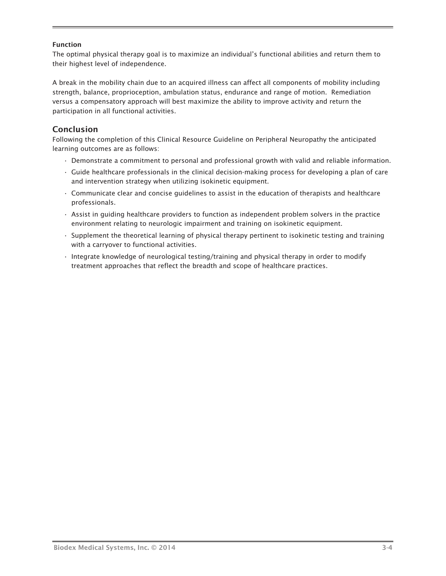#### **Function**

The optimal physical therapy goal is to maximize an individual's functional abilities and return them to their highest level of independence.

A break in the mobility chain due to an acquired illness can affect all components of mobility including strength, balance, proprioception, ambulation status, endurance and range of motion. Remediation versus a compensatory approach will best maximize the ability to improve activity and return the participation in all functional activities.

### **Conclusion**

Following the completion of this Clinical Resource Guideline on Peripheral Neuropathy the anticipated learning outcomes are as follows:

- Demonstrate a commitment to personal and professional growth with valid and reliable information.
- Guide healthcare professionals in the clinical decision-making process for developing a plan of care and intervention strategy when utilizing isokinetic equipment.
- Communicate clear and concise guidelines to assist in the education of therapists and healthcare professionals.
- Assist in guiding healthcare providers to function as independent problem solvers in the practice environment relating to neurologic impairment and training on isokinetic equipment.
- Supplement the theoretical learning of physical therapy pertinent to isokinetic testing and training with a carryover to functional activities.
- Integrate knowledge of neurological testing/training and physical therapy in order to modify treatment approaches that reflect the breadth and scope of healthcare practices.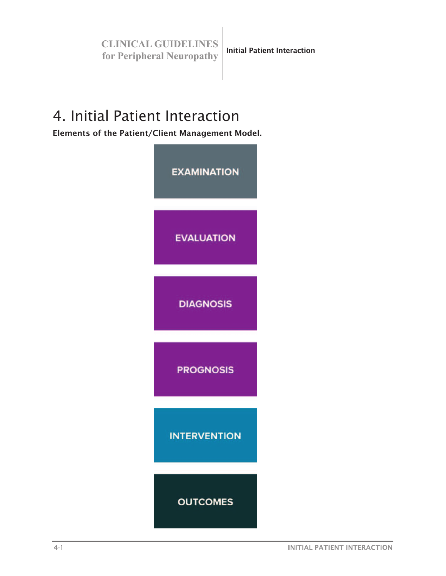# 4. Initial Patient Interaction

**Elements of the Patient/Client Management Model.**

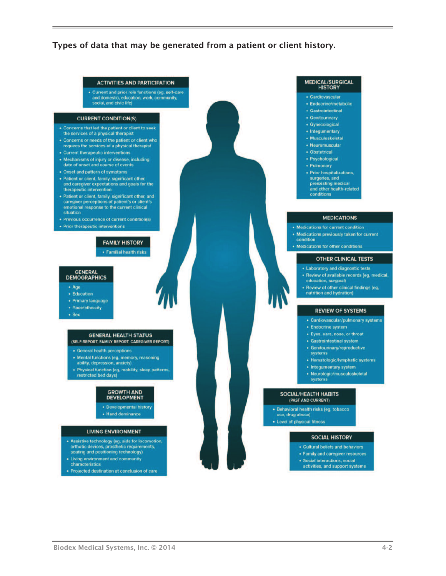### **Types of data that may be generated from a patient or client history.**

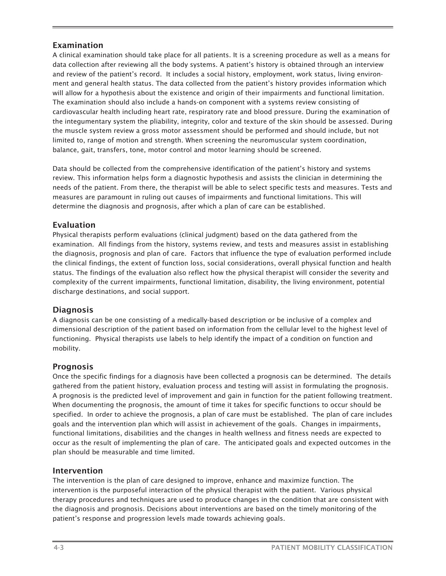# **Examination**

A clinical examination should take place for all patients. It is a screening procedure as well as a means for data collection after reviewing all the body systems. A patient's history is obtained through an interview and review of the patient's record. It includes a social history, employment, work status, living environment and general health status. The data collected from the patient's history provides information which will allow for a hypothesis about the existence and origin of their impairments and functional limitation. The examination should also include a hands-on component with a systems review consisting of cardiovascular health including heart rate, respiratory rate and blood pressure. During the examination of the integumentary system the pliability, integrity, color and texture of the skin should be assessed. During the muscle system review a gross motor assessment should be performed and should include, but not limited to, range of motion and strength. When screening the neuromuscular system coordination, balance, gait, transfers, tone, motor control and motor learning should be screened.

Data should be collected from the comprehensive identification of the patient's history and systems review. This information helps form a diagnostic hypothesis and assists the clinician in determining the needs of the patient. From there, the therapist will be able to select specific tests and measures. Tests and measures are paramount in ruling out causes of impairments and functional limitations. This will determine the diagnosis and prognosis, after which a plan of care can be established.

# **Evaluation**

Physical therapists perform evaluations (clinical judgment) based on the data gathered from the examination. All findings from the history, systems review, and tests and measures assist in establishing the diagnosis, prognosis and plan of care. Factors that influence the type of evaluation performed include the clinical findings, the extent of function loss, social considerations, overall physical function and health status. The findings of the evaluation also reflect how the physical therapist will consider the severity and complexity of the current impairments, functional limitation, disability, the living environment, potential discharge destinations, and social support.

# **Diagnosis**

A diagnosis can be one consisting of a medically-based description or be inclusive of a complex and dimensional description of the patient based on information from the cellular level to the highest level of functioning. Physical therapists use labels to help identify the impact of a condition on function and mobility.

# **Prognosis**

Once the specific findings for a diagnosis have been collected a prognosis can be determined. The details gathered from the patient history, evaluation process and testing will assist in formulating the prognosis. A prognosis is the predicted level of improvement and gain in function for the patient following treatment. When documenting the prognosis, the amount of time it takes for specific functions to occur should be specified. In order to achieve the prognosis, a plan of care must be established. The plan of care includes goals and the intervention plan which will assist in achievement of the goals. Changes in impairments, functional limitations, disabilities and the changes in health wellness and fitness needs are expected to occur as the result of implementing the plan of care. The anticipated goals and expected outcomes in the plan should be measurable and time limited.

# **Intervention**

The intervention is the plan of care designed to improve, enhance and maximize function. The intervention is the purposeful interaction of the physical therapist with the patient. Various physical therapy procedures and techniques are used to produce changes in the condition that are consistent with the diagnosis and prognosis. Decisions about interventions are based on the timely monitoring of the patient's response and progression levels made towards achieving goals.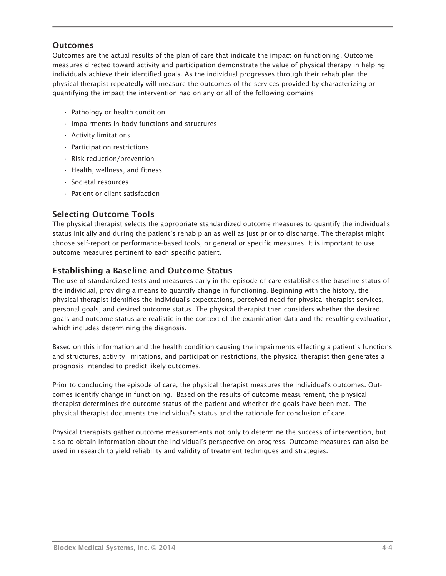### **Outcomes**

Outcomes are the actual results of the plan of care that indicate the impact on functioning. Outcome measures directed toward activity and participation demonstrate the value of physical therapy in helping individuals achieve their identified goals. As the individual progresses through their rehab plan the physical therapist repeatedly will measure the outcomes of the services provided by characterizing or quantifying the impact the intervention had on any or all of the following domains:

- Pathology or health condition
- Impairments in body functions and structures
- Activity limitations
- Participation restrictions
- Risk reduction/prevention
- Health, wellness, and fitness
- Societal resources
- Patient or client satisfaction

# **Selecting Outcome Tools**

The physical therapist selects the appropriate standardized outcome measures to quantify the individual's status initially and during the patient's rehab plan as well as just prior to discharge. The therapist might choose self-report or performance-based tools, or general or specific measures. It is important to use outcome measures pertinent to each specific patient.

### **Establishing a Baseline and Outcome Status**

The use of standardized tests and measures early in the episode of care establishes the baseline status of the individual, providing a means to quantify change in functioning. Beginning with the history, the physical therapist identifies the individual's expectations, perceived need for physical therapist services, personal goals, and desired outcome status. The physical therapist then considers whether the desired goals and outcome status are realistic in the context of the examination data and the resulting evaluation, which includes determining the diagnosis.

Based on this information and the health condition causing the impairments effecting a patient's functions and structures, activity limitations, and participation restrictions, the physical therapist then generates a prognosis intended to predict likely outcomes.

Prior to concluding the episode of care, the physical therapist measures the individual's outcomes. Outcomes identify change in functioning. Based on the results of outcome measurement, the physical therapist determines the outcome status of the patient and whether the goals have been met. The physical therapist documents the individual's status and the rationale for conclusion of care.

Physical therapists gather outcome measurements not only to determine the success of intervention, but also to obtain information about the individual's perspective on progress. Outcome measures can also be used in research to yield reliability and validity of treatment techniques and strategies.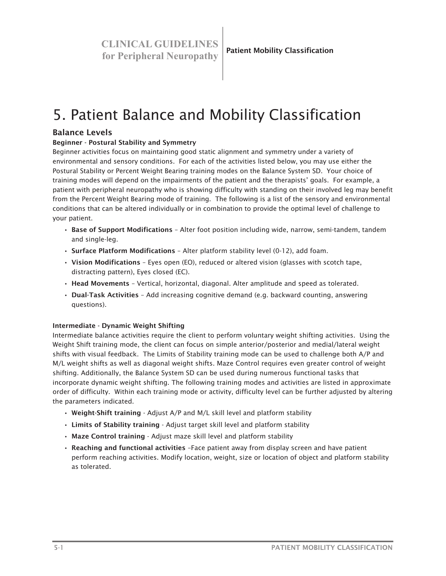# 5. Patient Balance and Mobility Classification

### **Balance Levels**

### **Beginner - Postural Stability and Symmetry**

Beginner activities focus on maintaining good static alignment and symmetry under a variety of environmental and sensory conditions. For each of the activities listed below, you may use either the Postural Stability or Percent Weight Bearing training modes on the Balance System SD. Your choice of training modes will depend on the impairments of the patient and the therapists' goals. For example, a patient with peripheral neuropathy who is showing difficulty with standing on their involved leg may benefit from the Percent Weight Bearing mode of training. The following is a list of the sensory and environmental conditions that can be altered individually or in combination to provide the optimal level of challenge to your patient.

- **• Base of Support Modifications** Alter foot position including wide, narrow, semi-tandem, tandem and single-leg.
- **• Surface Platform Modifications** Alter platform stability level (0-12), add foam.
- **• Vision Modifications** Eyes open (EO), reduced or altered vision (glasses with scotch tape, distracting pattern), Eyes closed (EC).
- **• Head Movements** Vertical, horizontal, diagonal. Alter amplitude and speed as tolerated.
- **• Dual-Task Activities** Add increasing cognitive demand (e.g. backward counting, answering questions).

#### **Intermediate - Dynamic Weight Shifting**

Intermediate balance activities require the client to perform voluntary weight shifting activities. Using the Weight Shift training mode, the client can focus on simple anterior/posterior and medial/lateral weight shifts with visual feedback. The Limits of Stability training mode can be used to challenge both A/P and M/L weight shifts as well as diagonal weight shifts. Maze Control requires even greater control of weight shifting. Additionally, the Balance System SD can be used during numerous functional tasks that incorporate dynamic weight shifting. The following training modes and activities are listed in approximate order of difficulty. Within each training mode or activity, difficulty level can be further adjusted by altering the parameters indicated.

- **• Weight-Shift training** Adjust A/P and M/L skill level and platform stability
- **• Limits of Stability training** Adjust target skill level and platform stability
- **• Maze Control training** Adjust maze skill level and platform stability
- **• Reaching and functional activities** –Face patient away from display screen and have patient perform reaching activities. Modify location, weight, size or location of object and platform stability as tolerated.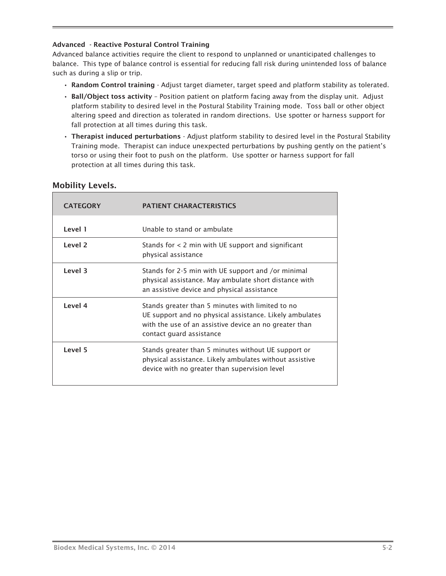#### **Advanced - Reactive Postural Control Training**

Advanced balance activities require the client to respond to unplanned or unanticipated challenges to balance. This type of balance control is essential for reducing fall risk during unintended loss of balance such as during a slip or trip.

- **• Random Control training** Adjust target diameter, target speed and platform stability as tolerated.
- **• Ball/Object toss activity** Position patient on platform facing away from the display unit. Adjust platform stability to desired level in the Postural Stability Training mode. Toss ball or other object altering speed and direction as tolerated in random directions. Use spotter or harness support for fall protection at all times during this task.
- **• Therapist induced perturbations** Adjust platform stability to desired level in the Postural Stability Training mode. Therapist can induce unexpected perturbations by pushing gently on the patient's torso or using their foot to push on the platform. Use spotter or harness support for fall protection at all times during this task.

| <b>CATEGORY</b> | <b>PATIENT CHARACTERISTICS</b>                                                                                                                                                                    |  |
|-----------------|---------------------------------------------------------------------------------------------------------------------------------------------------------------------------------------------------|--|
| Level 1         | Unable to stand or ambulate                                                                                                                                                                       |  |
| Level 2         | Stands for $<$ 2 min with UE support and significant<br>physical assistance                                                                                                                       |  |
| Level 3         | Stands for 2-5 min with UE support and /or minimal<br>physical assistance. May ambulate short distance with<br>an assistive device and physical assistance                                        |  |
| Level 4         | Stands greater than 5 minutes with limited to no<br>UE support and no physical assistance. Likely ambulates<br>with the use of an assistive device an no greater than<br>contact guard assistance |  |
| Level 5         | Stands greater than 5 minutes without UE support or<br>physical assistance. Likely ambulates without assistive<br>device with no greater than supervision level                                   |  |

### **Mobility Levels.**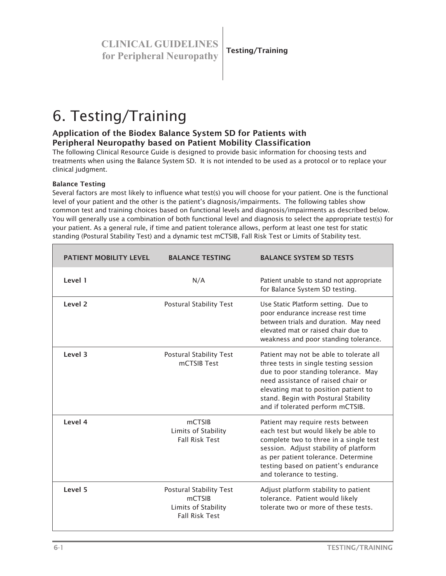# 6. Testing/Training

### **Application of the Biodex Balance System SD for Patients with Peripheral Neuropathy based on Patient Mobility Classification**

The following Clinical Resource Guide is designed to provide basic information for choosing tests and treatments when using the Balance System SD. It is not intended to be used as a protocol or to replace your clinical judgment.

#### **Balance Testing**

Several factors are most likely to influence what test(s) you will choose for your patient. One is the functional level of your patient and the other is the patient's diagnosis/impairments. The following tables show common test and training choices based on functional levels and diagnosis/impairments as described below. You will generally use a combination of both functional level and diagnosis to select the appropriate test(s) for your patient. As a general rule, if time and patient tolerance allows, perform at least one test for static standing (Postural Stability Test) and a dynamic test mCTSIB, Fall Risk Test or Limits of Stability test.

| <b>PATIENT MOBILITY LEVEL</b> | <b>BALANCE TESTING</b>                                                            | <b>BALANCE SYSTEM SD TESTS</b>                                                                                                                                                                                                                                                    |
|-------------------------------|-----------------------------------------------------------------------------------|-----------------------------------------------------------------------------------------------------------------------------------------------------------------------------------------------------------------------------------------------------------------------------------|
| Level 1                       | N/A                                                                               | Patient unable to stand not appropriate<br>for Balance System SD testing.                                                                                                                                                                                                         |
| Level <sub>2</sub>            | <b>Postural Stability Test</b>                                                    | Use Static Platform setting. Due to<br>poor endurance increase rest time<br>between trials and duration. May need<br>elevated mat or raised chair due to<br>weakness and poor standing tolerance.                                                                                 |
| Level 3                       | <b>Postural Stability Test</b><br>mCTSIB Test                                     | Patient may not be able to tolerate all<br>three tests in single testing session<br>due to poor standing tolerance. May<br>need assistance of raised chair or<br>elevating mat to position patient to<br>stand. Begin with Postural Stability<br>and if tolerated perform mCTSIB. |
| Level 4                       | mCTSIB<br>Limits of Stability<br><b>Fall Risk Test</b>                            | Patient may require rests between<br>each test but would likely be able to<br>complete two to three in a single test<br>session. Adjust stability of platform<br>as per patient tolerance. Determine<br>testing based on patient's endurance<br>and tolerance to testing.         |
| Level 5                       | Postural Stability Test<br>mCTSIB<br>Limits of Stability<br><b>Fall Risk Test</b> | Adjust platform stability to patient<br>tolerance. Patient would likely<br>tolerate two or more of these tests.                                                                                                                                                                   |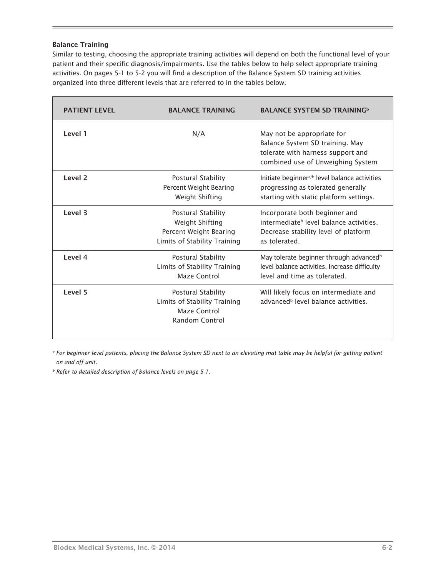#### **Balance Training**

Similar to testing, choosing the appropriate training activities will depend on both the functional level of your patient and their specific diagnosis/impairments. Use the tables below to help select appropriate training activities. On pages 5-1 to 5-2 you will find a description of the Balance System SD training activities organized into three different levels that are referred to in the tables below.

| <b>PATIENT LEVEL</b> | <b>BALANCE TRAINING</b>                                                                         | <b>BALANCE SYSTEM SD TRAINING</b> <sup>b</sup>                                                                                                |
|----------------------|-------------------------------------------------------------------------------------------------|-----------------------------------------------------------------------------------------------------------------------------------------------|
| Level 1              | N/A                                                                                             | May not be appropriate for<br>Balance System SD training. May<br>tolerate with harness support and<br>combined use of Unweighing System       |
| Level <sub>2</sub>   | Postural Stability<br>Percent Weight Bearing<br>Weight Shifting                                 | Initiate beginner <sup>a/b</sup> level balance activities<br>progressing as tolerated generally<br>starting with static platform settings.    |
| Level 3              | Postural Stability<br>Weight Shifting<br>Percent Weight Bearing<br>Limits of Stability Training | Incorporate both beginner and<br>intermediate <sup>b</sup> level balance activities.<br>Decrease stability level of platform<br>as tolerated. |
| Level 4              | Postural Stability<br>Limits of Stability Training<br>Maze Control                              | May tolerate beginner through advanced <sup>b</sup><br>level balance activities. Increase difficulty<br>level and time as tolerated.          |
| Level 5              | Postural Stability<br>Limits of Stability Training<br>Maze Control<br><b>Random Control</b>     | Will likely focus on intermediate and<br>advanced <sup>b</sup> level balance activities.                                                      |

<sup>a</sup> For beginner level patients, placing the Balance System SD next to an elevating mat table may be helpful for getting patient *on and off unit.*

*<sup>b</sup> Refer to detailed description of balance levels on page 5-1.*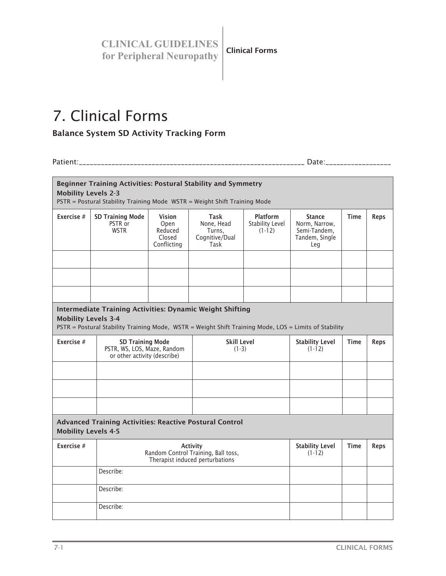# **Clinical Forms**

# 7. Clinical Forms

# **Balance System SD Activity Tracking Form**

| <b>Mobility Levels 2-3</b> | <b>Beginner Training Activities: Postural Stability and Symmetry</b><br>PSTR = Postural Stability Training Mode WSTR = Weight Shift Training Mode                         |                                                           |                                                        |                                                       |                                                                         |      |      |
|----------------------------|---------------------------------------------------------------------------------------------------------------------------------------------------------------------------|-----------------------------------------------------------|--------------------------------------------------------|-------------------------------------------------------|-------------------------------------------------------------------------|------|------|
| Exercise #                 | <b>SD Training Mode</b><br>PSTR or<br><b>WSTR</b>                                                                                                                         | <b>Vision</b><br>Open<br>Reduced<br>Closed<br>Conflicting | Task<br>None, Head<br>Turns.<br>Cognitive/Dual<br>Task | <b>Platform</b><br><b>Stability Level</b><br>$(1-12)$ | <b>Stance</b><br>Norm, Narrow,<br>Semi-Tandem,<br>Tandem, Single<br>Leg | Time | Reps |
|                            |                                                                                                                                                                           |                                                           |                                                        |                                                       |                                                                         |      |      |
| <b>Mobility Levels 3-4</b> | <b>Intermediate Training Activities: Dynamic Weight Shifting</b><br>PSTR = Postural Stability Training Mode, WSTR = Weight Shift Training Mode, LOS = Limits of Stability |                                                           |                                                        |                                                       |                                                                         |      |      |
| Exercise #                 | <b>SD Training Mode</b><br>PSTR, WS, LOS, Maze, Random<br>or other activity (describe)                                                                                    |                                                           | <b>Skill Level</b><br>$(1-3)$                          |                                                       | <b>Stability Level</b><br>$(1-12)$                                      | Time | Reps |
|                            |                                                                                                                                                                           |                                                           |                                                        |                                                       |                                                                         |      |      |
|                            |                                                                                                                                                                           |                                                           |                                                        |                                                       |                                                                         |      |      |
|                            |                                                                                                                                                                           |                                                           |                                                        |                                                       |                                                                         |      |      |
| <b>Mobility Levels 4-5</b> | <b>Advanced Training Activities: Reactive Postural Control</b>                                                                                                            |                                                           |                                                        |                                                       |                                                                         |      |      |
| Exercise #                 | <b>Activity</b><br>Random Control Training, Ball toss,<br>Therapist induced perturbations                                                                                 |                                                           | <b>Stability Level</b><br>$(1-12)$                     | <b>Time</b>                                           | Reps                                                                    |      |      |
|                            | Describe:                                                                                                                                                                 |                                                           |                                                        |                                                       |                                                                         |      |      |
|                            | Describe:                                                                                                                                                                 |                                                           |                                                        |                                                       |                                                                         |      |      |
|                            | Describe:                                                                                                                                                                 |                                                           |                                                        |                                                       |                                                                         |      |      |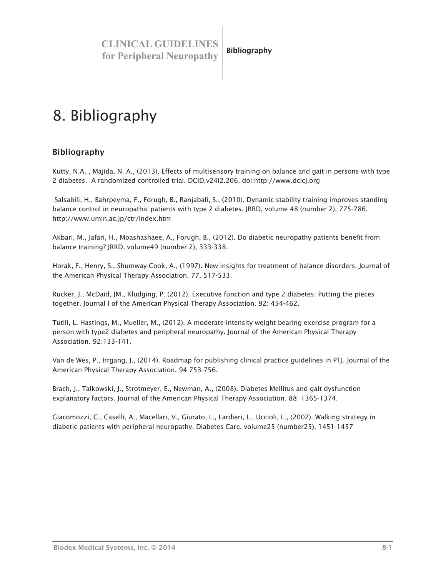# 8. Bibliography

# **Bibliography**

Kutty, N.A. , Majida, N. A., (2013). Effects of multisensory training on balance and gait in persons with type 2 diabetes. A randomized controlled trial. DCID,v24i2.206. doi:http://www.dcicj.org

Salsabili, H., Bahrpeyma, F., Forugh, B., Ranjabali, S., (2010). Dynamic stability training improves standing balance control in neuropathic patients with type 2 diabetes. JRRD, volume 48 (number 2), 775-786. http://www.umin.ac.jp/ctr/index.htm

Akbari, M., Jafari, H., Moashashaee, A., Forugh, B., (2012). Do diabetic neuropathy patients benefit from balance training? JRRD, volume49 (number 2), 333-338.

Horak, F., Henry, S., Shumway-Cook, A., (1997). New insights for treatment of balance disorders. Journal of the American Physical Therapy Association. 77, 517-533.

Rucker, J., McDaid, JM., Kludging, P. (2012). Executive function and type 2 diabetes: Putting the pieces together. Journal l of the American Physical Therapy Association. 92: 454-462.

Tutill, L. Hastings, M., Mueller, M., (2012). A moderate-intensity weight bearing exercise program for a person with type2 diabetes and peripheral neuropathy. Journal of the American Physical Therapy Association. 92:133-141.

Van de Wes, P., Irrgang, J., (2014). Roadmap for publishing clinical practice guidelines in PTJ. Journal of the American Physical Therapy Association. 94:753-756.

Brach, J., Talkowski, J., Strotmeyer, E., Newman, A., (2008). Diabetes Mellitus and gait dysfunction explanatory factors. Journal of the American Physical Therapy Association. 88: 1365-1374.

Giacomozzi, C., Caselli, A., Macellari, V., Giurato, L., Lardieri, L., Uccioli, L., (2002). Walking strategy in diabetic patients with peripheral neuropathy. Diabetes Care, volume25 (number25), 1451-1457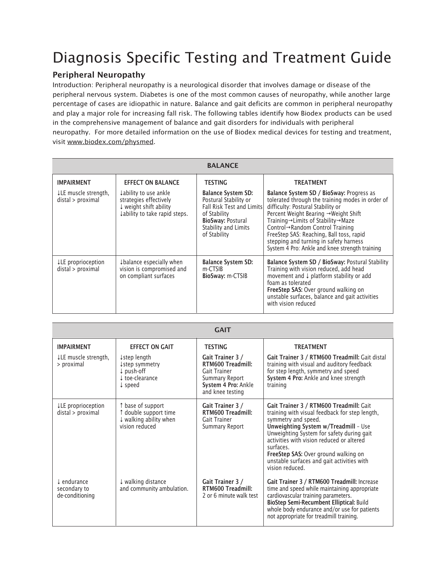# Diagnosis Specific Testing and Treatment Guide

### **Peripheral Neuropathy**

Introduction: Peripheral neuropathy is a neurological disorder that involves damage or disease of the peripheral nervous system. Diabetes is one of the most common causes of neuropathy, while another large percentage of cases are idiopathic in nature. Balance and gait deficits are common in peripheral neuropathy and play a major role for increasing fall risk. The following tables identify how Biodex products can be used in the comprehensive management of balance and gait disorders for individuals with peripheral neuropathy. For more detailed information on the use of Biodex medical devices for testing and treatment, visit www.biodex.com/physmed.

| <b>BALANCE</b>                            |                                                                                                             |                                                                                                                                                                     |                                                                                                                                                                                                                                                                                                                                                                                            |  |
|-------------------------------------------|-------------------------------------------------------------------------------------------------------------|---------------------------------------------------------------------------------------------------------------------------------------------------------------------|--------------------------------------------------------------------------------------------------------------------------------------------------------------------------------------------------------------------------------------------------------------------------------------------------------------------------------------------------------------------------------------------|--|
| <b>IMPAIRMENT</b>                         | <b>EFFECT ON BALANCE</b>                                                                                    | <b>TESTING</b>                                                                                                                                                      | <b>TREATMENT</b>                                                                                                                                                                                                                                                                                                                                                                           |  |
| ↓LE muscle strength.<br>distal > proximal | ↓ability to use ankle<br>strategies effectively<br>↓ weight shift ability<br>↓ ability to take rapid steps. | <b>Balance System SD:</b><br>Postural Stability or<br>Fall Risk Test and Limits<br>of Stability<br><b>BioSway: Postural</b><br>Stability and Limits<br>of Stability | Balance System SD / BioSway: Progress as<br>tolerated through the training modes in order of<br>difficulty: Postural Stability or<br>Percent Weight Bearing → Weight Shift<br>Training→Limits of Stability→Maze<br>Control→Random Control Training<br>FreeStep SAS: Reaching, Ball toss, rapid<br>stepping and turning in safety harness<br>System 4 Pro: Ankle and knee strength training |  |
| ↓LE proprioception<br>distal > proximal   | $\downarrow$ balance especially when<br>vision is compromised and<br>on compliant surfaces                  | <b>Balance System SD:</b><br>m-CTSIB<br><b>BioSway: m-CTSIB</b>                                                                                                     | Balance System SD / BioSway: Postural Stability<br>Training with vision reduced, add head<br>movement and $\downarrow$ platform stability or add<br>foam as tolerated<br>FreeStep SAS: Over ground walking on<br>unstable surfaces, balance and gait activities<br>with vision reduced                                                                                                     |  |

| GAIT                                           |                                                                                                              |                                                                                                                           |                                                                                                                                                                                                                                                                                                                                                                         |  |
|------------------------------------------------|--------------------------------------------------------------------------------------------------------------|---------------------------------------------------------------------------------------------------------------------------|-------------------------------------------------------------------------------------------------------------------------------------------------------------------------------------------------------------------------------------------------------------------------------------------------------------------------------------------------------------------------|--|
| <b>IMPAIRMENT</b>                              | <b>EFFECT ON GAIT</b>                                                                                        | <b>TESTING</b>                                                                                                            | <b>TREATMENT</b>                                                                                                                                                                                                                                                                                                                                                        |  |
| ↓LE muscle strength,<br>$>$ proximal           | $\downarrow$ step length<br>↓step symmetry<br>$\downarrow$ push-off<br>1 toe-clearance<br>$\downarrow$ speed | Gait Trainer 3 /<br>RTM600 Treadmill:<br>Gait Trainer<br><b>Summary Report</b><br>System 4 Pro: Ankle<br>and knee testing | Gait Trainer 3 / RTM600 Treadmill: Gait distal<br>training with visual and auditory feedback<br>for step length, symmetry and speed<br>System 4 Pro: Ankle and knee strength<br>training                                                                                                                                                                                |  |
| ↓LE proprioception<br>distal > proximal        | t base of support<br>t double support time<br>↓ walking ability when<br>vision reduced                       | Gait Trainer 3 /<br>RTM600 Treadmill:<br>Gait Trainer<br><b>Summary Report</b>                                            | Gait Trainer 3 / RTM600 Treadmill: Gait<br>training with visual feedback for step length,<br>symmetry and speed.<br>Unweighting System w/Treadmill - Use<br>Unweighting System for safety during gait<br>activities with vision reduced or altered<br>surfaces<br>FreeStep SAS: Over ground walking on<br>unstable surfaces and gait activities with<br>vision reduced. |  |
| 1 endurance<br>secondary to<br>de-conditioning | $\downarrow$ walking distance<br>and community ambulation.                                                   | Gait Trainer 3 /<br>RTM600 Treadmill:<br>2 or 6 minute walk test                                                          | Gait Trainer 3 / RTM600 Treadmill: Increase<br>time and speed while maintaining appropriate<br>cardiovascular training parameters.<br>BioStep Semi-Recumbent Elliptical: Build<br>whole body endurance and/or use for patients<br>not appropriate for treadmill training.                                                                                               |  |